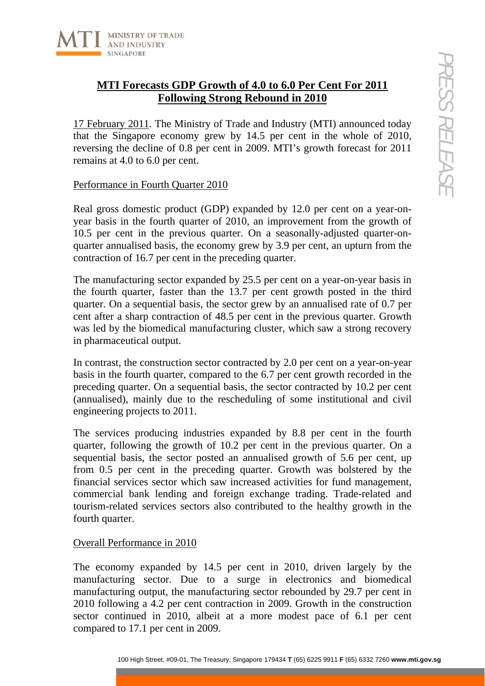

# **MTI Forecasts GDP Growth of 4.0 to 6.0 Per Cent For 2011 Following Strong Rebound in 2010**

17 February 2011. The Ministry of Trade and Industry (MTI) announced today that the Singapore economy grew by 14.5 per cent in the whole of 2010, reversing the decline of 0.8 per cent in 2009. MTI's growth forecast for 2011 remains at 4.0 to 6.0 per cent.

## Performance in Fourth Quarter 2010

Real gross domestic product (GDP) expanded by 12.0 per cent on a year-onyear basis in the fourth quarter of 2010, an improvement from the growth of 10.5 per cent in the previous quarter. On a seasonally-adjusted quarter-onquarter annualised basis, the economy grew by 3.9 per cent, an upturn from the contraction of 16.7 per cent in the preceding quarter.

The manufacturing sector expanded by 25.5 per cent on a year-on-year basis in the fourth quarter, faster than the 13.7 per cent growth posted in the third quarter. On a sequential basis, the sector grew by an annualised rate of 0.7 per cent after a sharp contraction of 48.5 per cent in the previous quarter. Growth was led by the biomedical manufacturing cluster, which saw a strong recovery in pharmaceutical output.

In contrast, the construction sector contracted by 2.0 per cent on a year-on-year basis in the fourth quarter, compared to the 6.7 per cent growth recorded in the preceding quarter. On a sequential basis, the sector contracted by 10.2 per cent (annualised), mainly due to the rescheduling of some institutional and civil engineering projects to 2011.

**EXERCISE GDP Growth of 4.0 to 6.0 Per Cent For 2011**<br> **Example 2011** The Ministry of Trade and Industry (MTI) announced today<br>  $\frac{1}{2}$ (11). The Ministry of Trade and Industry (MTI) announced today<br>
the decline of 0.8 p The services producing industries expanded by 8.8 per cent in the fourth quarter, following the growth of 10.2 per cent in the previous quarter. On a sequential basis, the sector posted an annualised growth of 5.6 per cent, up from 0.5 per cent in the preceding quarter. Growth was bolstered by the financial services sector which saw increased activities for fund management, commercial bank lending and foreign exchange trading. Trade-related and tourism-related services sectors also contributed to the healthy growth in the fourth quarter.

# Overall Performance in 2010

The economy expanded by 14.5 per cent in 2010, driven largely by the manufacturing sector. Due to a surge in electronics and biomedical manufacturing output, the manufacturing sector rebounded by 29.7 per cent in 2010 following a 4.2 per cent contraction in 2009. Growth in the construction sector continued in 2010, albeit at a more modest pace of 6.1 per cent compared to 17.1 per cent in 2009.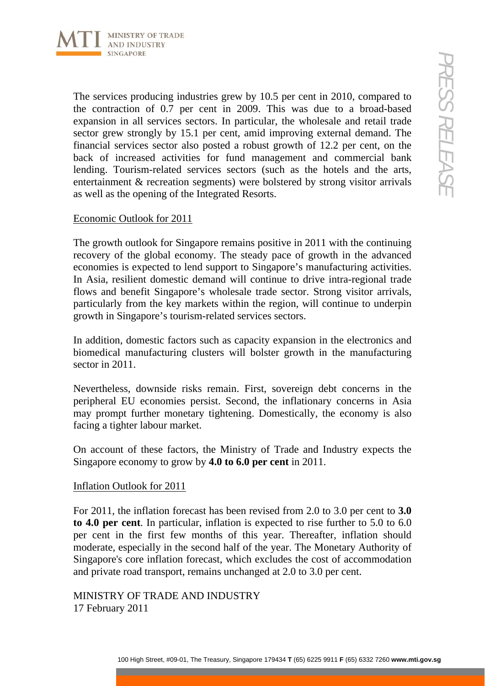

100 Hotel Treasure and Control Transmary (10.5 per cent in 2010, compared to Control in all other of Control in the Control in the United based<br>in all otherics sectors. In particular, the wholesale and retail trade<br>in al The services producing industries grew by 10.5 per cent in 2010, compared to the contraction of 0.7 per cent in 2009. This was due to a broad-based expansion in all services sectors. In particular, the wholesale and retail trade sector grew strongly by 15.1 per cent, amid improving external demand. The financial services sector also posted a robust growth of 12.2 per cent, on the back of increased activities for fund management and commercial bank lending. Tourism-related services sectors (such as the hotels and the arts, entertainment & recreation segments) were bolstered by strong visitor arrivals as well as the opening of the Integrated Resorts.

#### Economic Outlook for 2011

The growth outlook for Singapore remains positive in 2011 with the continuing recovery of the global economy. The steady pace of growth in the advanced economies is expected to lend support to Singapore's manufacturing activities. In Asia, resilient domestic demand will continue to drive intra-regional trade flows and benefit Singapore's wholesale trade sector. Strong visitor arrivals, particularly from the key markets within the region, will continue to underpin growth in Singapore's tourism-related services sectors.

In addition, domestic factors such as capacity expansion in the electronics and biomedical manufacturing clusters will bolster growth in the manufacturing sector in 2011.

Nevertheless, downside risks remain. First, sovereign debt concerns in the peripheral EU economies persist. Second, the inflationary concerns in Asia may prompt further monetary tightening. Domestically, the economy is also facing a tighter labour market.

On account of these factors, the Ministry of Trade and Industry expects the Singapore economy to grow by **4.0 to 6.0 per cent** in 2011.

### Inflation Outlook for 2011

For 2011, the inflation forecast has been revised from 2.0 to 3.0 per cent to **3.0 to 4.0 per cent**. In particular, inflation is expected to rise further to 5.0 to 6.0 per cent in the first few months of this year. Thereafter, inflation should moderate, especially in the second half of the year. The Monetary Authority of Singapore's core inflation forecast, which excludes the cost of accommodation and private road transport, remains unchanged at 2.0 to 3.0 per cent.

# MINISTRY OF TRADE AND INDUSTRY 17 February 2011